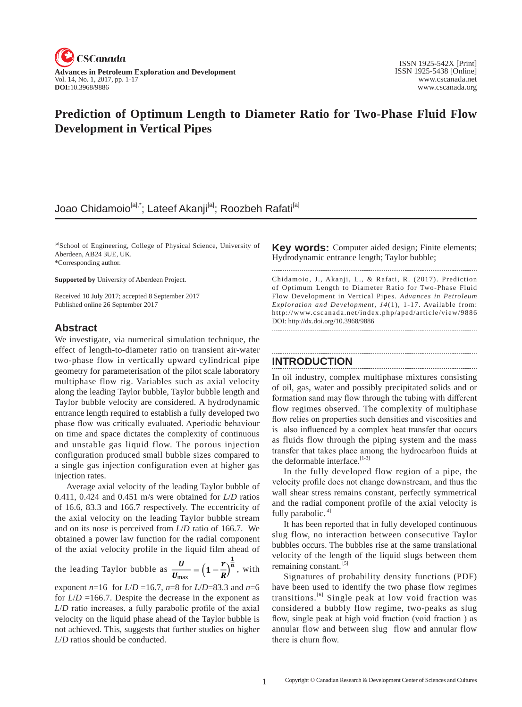

# **Prediction of Optimum Length to Diameter Ratio for Two-Phase Fluid Flow Development in Vertical Pipes**

# Joao Chidamoio<sup>[a],\*</sup>; Lateef Akanji<sup>[a]</sup>; Roozbeh Rafati<sup>[a]</sup>

[a]School of Engineering, College of Physical Science, University of Aberdeen, AB24 3UE, UK. \*Corresponding author.

**Supported by** University of Aberdeen Project.

Received 10 July 2017; accepted 8 September 2017 Published online 26 September 2017

# **Abstract**

We investigate, via numerical simulation technique, the effect of length-to-diameter ratio on transient air-water two-phase flow in vertically upward cylindrical pipe geometry for parameterisation of the pilot scale laboratory multiphase flow rig. Variables such as axial velocity along the leading Taylor bubble, Taylor bubble length and Taylor bubble velocity are considered. A hydrodynamic entrance length required to establish a fully developed two phase flow was critically evaluated. Aperiodic behaviour on time and space dictates the complexity of continuous and unstable gas liquid flow. The porous injection configuration produced small bubble sizes compared to a single gas injection configuration even at higher gas injection rates.

Average axial velocity of the leading Taylor bubble of 0.411, 0.424 and 0.451 m/s were obtained for *L*/*D* ratios of 16.6, 83.3 and 166.7 respectively. The eccentricity of the axial velocity on the leading Taylor bubble stream and on its nose is perceived from *L*/*D* ratio of 166.7. We obtained a power law function for the radial component of the axial velocity profile in the liquid film ahead of

the leading Taylor bubble as  $\frac{d}{U_{\text{max}}} = \left(1 - \frac{1}{R}\right)^n$ , with

exponent  $n=16$  for  $L/D = 16.7$ ,  $n=8$  for  $L/D = 83.3$  and  $n=6$ for  $L/D = 166.7$ . Despite the decrease in the exponent as *L*/*D* ratio increases, a fully parabolic profile of the axial velocity on the liquid phase ahead of the Taylor bubble is not achieved. This, suggests that further studies on higher *L*/*D* ratios should be conducted.

**Key words:** Computer aided design; Finite elements; Hydrodynamic entrance length; Taylor bubble; 

Chidamoio, J., Akanji, L., & Rafati, R. (2017). Prediction of Optimum Length to Diameter Ratio for Two-Phase Fluid Flow Development in Vertical Pipes. *Advances in Petroleum Exploration and Development*,  $14(1)$ , 1-17. Available from: http://www.cscanada.net/index.php/aped/article/view/9886 DOI: http://dx.doi.org/10.3968/9886

# **INTRODUCTION**

In oil industry, complex multiphase mixtures consisting of oil, gas, water and possibly precipitated solids and or formation sand may flow through the tubing with different flow regimes observed. The complexity of multiphase flow relies on properties such densities and viscosities and is also influenced by a complex heat transfer that occurs as fluids flow through the piping system and the mass transfer that takes place among the hydrocarbon fluids at the deformable interface. $[1-3]$ 

In the fully developed flow region of a pipe, the velocity profile does not change downstream, and thus the wall shear stress remains constant, perfectly symmetrical and the radial component profile of the axial velocity is fully parabolic.<sup>4]</sup>

It has been reported that in fully developed continuous slug flow, no interaction between consecutive Taylor bubbles occurs. The bubbles rise at the same translational velocity of the length of the liquid slugs between them remaining constant.<sup>[5]</sup>

Signatures of probability density functions (PDF) have been used to identify the two phase flow regimes transitions.[6] Single peak at low void fraction was considered a bubbly flow regime, two-peaks as slug flow, single peak at high void fraction (void fraction ) as annular flow and between slug flow and annular flow there is churn flow.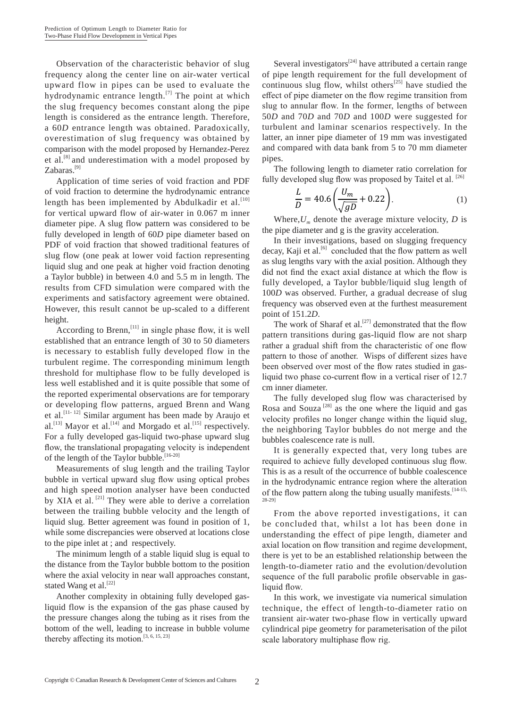Observation of the characteristic behavior of slug frequency along the center line on air-water vertical upward flow in pipes can be used to evaluate the hydrodynamic entrance length. $^{[7]}$  The point at which the slug frequency becomes constant along the pipe length is considered as the entrance length. Therefore, a 60D entrance length was obtained. Paradoxically, overestimation of slug frequency was obtained by comparison with the model proposed by Hernandez-Perez et al.<sup>[8]</sup> and underestimation with a model proposed by Zabaras. $^{[9]}$ 

Application of time series of void fraction and PDF of void fraction to determine the hydrodynamic entrance length has been implemented by Abdulkadir et al.<sup>[10]</sup> for vertical upward flow of air-water in 0.067 m inner diameter pipe. A slug flow pattern was considered to be fully developed in length of 60D pipe diameter based on PDF of void fraction that showed traditional features of slug flow (one peak at lower void faction representing liquid slug and one peak at higher void fraction denoting a Taylor bubble) in between 4.0 and 5.5 m in length. The results from CFD simulation were compared with the experiments and satisfactory agreement were obtained. However, this result cannot be up-scaled to a different height.

According to Brenn,<sup>[11]</sup> in single phase flow, it is well established that an entrance length of 30 to 50 diameters is necessary to establish fully developed flow in the turbulent regime. The corresponding minimum length threshold for multiphase flow to be fully developed is less well established and it is quite possible that some of the reported experimental observations are for temporary or developing flow patterns, argued Brenn and Wang et al.<sup>[11-12]</sup> Similar argument has been made by Araujo et al.<sup>[13]</sup> Mayor et al.<sup>[14]</sup> and Morgado et al.<sup>[15]</sup> respectively. For a fully developed gas-liquid two-phase upward slug flow, the translational propagating velocity is independent of the length of the Taylor bubble.<sup>[16-20]</sup>

Measurements of slug length and the trailing Taylor bubble in vertical upward slug flow using optical probes and high speed motion analyser have been conducted by XIA et al.<sup>[21]</sup> They were able to derive a correlation between the trailing bubble velocity and the length of liquid slug. Better agreement was found in position of 1, while some discrepancies were observed at locations close to the pipe inlet at ; and respectively.

The minimum length of a stable liquid slug is equal to the distance from the Taylor bubble bottom to the position where the axial velocity in near wall approaches constant, stated Wang et al.<sup>[22]</sup>

Another complexity in obtaining fully developed gasliquid flow is the expansion of the gas phase caused by the pressure changes along the tubing as it rises from the bottom of the well, leading to increase in bubble volume thereby affecting its motion.<sup>[3, 6, 15, 23]</sup>

Several investigators<sup>[24]</sup> have attributed a certain range of pipe length requirement for the full development of continuous slug flow, whilst others<sup>[25]</sup> have studied the effect of pipe diameter on the flow regime transition from slug to annular flow. In the former, lengths of between 50D and 70D and 70D and 100D were suggested for turbulent and laminar scenarios respectively. In the latter, an inner pipe diameter of 19 mm was investigated and compared with data bank from 5 to 70 mm diameter pipes.

The following length to diameter ratio correlation for fully developed slug flow was proposed by Taitel et al. [26]

$$
\frac{L}{D} = 40.6 \left( \frac{U_m}{\sqrt{gD}} + 0.22 \right). \tag{1}
$$

Where,  $U_m$  denote the average mixture velocity, D is the pipe diameter and g is the gravity acceleration.

In their investigations, based on slugging frequency decay, Kaji et al.<sup>[6]</sup> concluded that the flow pattern as well as slug lengths vary with the axial position. Although they did not find the exact axial distance at which the flow is fully developed, a Taylor bubble/liquid slug length of 100D was observed. Further, a gradual decrease of slug frequency was observed even at the furthest measurement point of 151.2D.

The work of Sharaf et al.<sup>[27]</sup> demonstrated that the flow pattern transitions during gas-liquid flow are not sharp rather a gradual shift from the characteristic of one flow pattern to those of another. Wisps of different sizes have been observed over most of the flow rates studied in gasliquid two phase co-current flow in a vertical riser of 12.7 cm inner diameter.

The fully developed slug flow was characterised by Rosa and Souza<sup>[28]</sup> as the one where the liquid and gas velocity profiles no longer change within the liquid slug, the neighboring Taylor bubbles do not merge and the bubbles coalescence rate is null.

It is generally expected that, very long tubes are required to achieve fully developed continuous slug flow. This is as a result of the occurrence of bubble coalescence in the hydrodynamic entrance region where the alteration of the flow pattern along the tubing usually manifests. [14-15,

From the above reported investigations, it can be concluded that, whilst a lot has been done in understanding the effect of pipe length, diameter and axial location on flow transition and regime development, there is yet to be an established relationship between the length-to-diameter ratio and the evolution/devolution sequence of the full parabolic profile observable in gasliquid flow.

In this work, we investigate via numerical simulation technique, the effect of length-to-diameter ratio on transient air-water two-phase flow in vertically upward cylindrical pipe geometry for parameterisation of the pilot scale laboratory multiphase flow rig.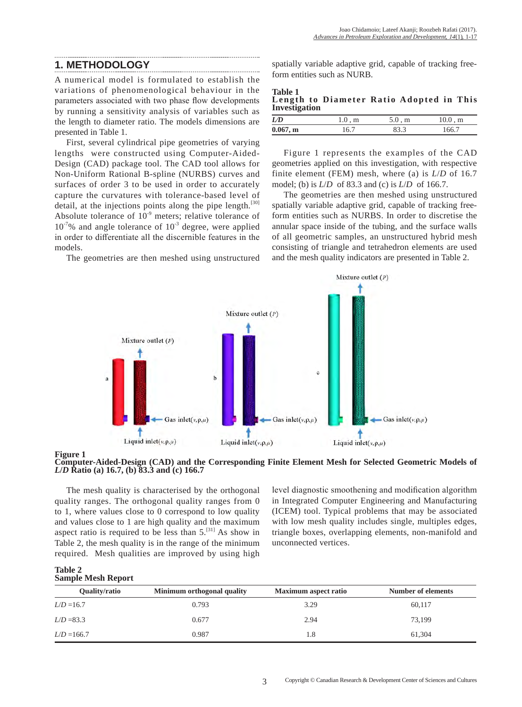# **1. METHODOLOGY**

A numerical model is formulated to establish the variations of phenomenological behaviour in the parameters associated with two phase flow developments by running a sensitivity analysis of variables such as the length to diameter ratio. The models dimensions are presented in Table 1.

First, several cylindrical pipe geometries of varying lengths were constructed using Computer-Aided-Design (CAD) package tool. The CAD tool allows for Non-Uniform Rational B-spline (NURBS) curves and surfaces of order 3 to be used in order to accurately capture the curvatures with tolerance-based level of detail, at the injections points along the pipe length.<sup>[30]</sup> Absolute tolerance of  $10^{-9}$  meters; relative tolerance of  $10^{-7}$ % and angle tolerance of  $10^{-3}$  degree, were applied in order to differentiate all the discernible features in the models.

The geometries are then meshed using unstructured

spatially variable adaptive grid, capable of tracking freeform entities such as NURB.

| <b>Table 1</b><br>Length to Diameter Ratio Adopted in This<br>Investigation |  |  |
|-----------------------------------------------------------------------------|--|--|
|-----------------------------------------------------------------------------|--|--|

| LD       | $1.0 \,$ , m | $5.0 \,$ , m | $10.0 \, , m$ |
|----------|--------------|--------------|---------------|
| 0.067, m |              | 83.3         | 166.7         |

Figure 1 represents the examples of the CAD geometries applied on this investigation, with respective finite element (FEM) mesh, where (a) is *L*/*D* of 16.7 model; (b) is *L*/*D* of 83.3 and (c) is *L*/*D* of 166.7.

The geometries are then meshed using unstructured spatially variable adaptive grid, capable of tracking freeform entities such as NURBS. In order to discretise the annular space inside of the tubing, and the surface walls of all geometric samples, an unstructured hybrid mesh consisting of triangle and tetrahedron elements are used and the mesh quality indicators are presented in Table 2.



#### **Figure 1**

**Computer-Aided-Design (CAD) and the Corresponding Finite Element Mesh for Selected Geometric Models of**  *L***/***D* **Ratio (a) 16.7, (b) 83.3 and (c) 166.7**

The mesh quality is characterised by the orthogonal quality ranges. The orthogonal quality ranges from 0 to 1, where values close to 0 correspond to low quality and values close to 1 are high quality and the maximum aspect ratio is required to be less than  $5^{[31]}$  As show in Table 2, the mesh quality is in the range of the minimum required. Mesh qualities are improved by using high level diagnostic smoothening and modification algorithm in Integrated Computer Engineering and Manufacturing (ICEM) tool. Typical problems that may be associated with low mesh quality includes single, multiples edges, triangle boxes, overlapping elements, non-manifold and unconnected vertices.

| <b>Table 2</b>            |  |
|---------------------------|--|
| <b>Sample Mesh Report</b> |  |

| Quality/ratio | Minimum orthogonal quality | <b>Maximum</b> aspect ratio | Number of elements |
|---------------|----------------------------|-----------------------------|--------------------|
| $L/D = 16.7$  | 0.793                      | 3.29                        | 60,117             |
| $L/D = 83.3$  | 0.677                      | 2.94                        | 73.199             |
| $L/D = 166.7$ | 0.987                      | 1.8                         | 61.304             |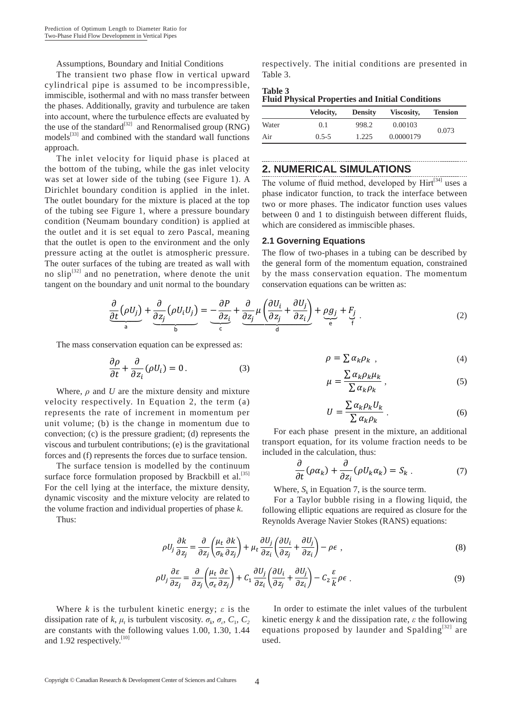Assumptions, Boundary and Initial Conditions

The transient two phase flow in vertical upward cylindrical pipe is assumed to be incompressible. immiscible, isothermal and with no mass transfer between the phases. Additionally, gravity and turbulence are taken into account, where the turbulence effects are evaluated by the use of the standard<sup>[32]</sup> and Renormalised group (RNG) models<sup>[33]</sup> and combined with the standard wall functions approach.

The inlet velocity for liquid phase is placed at the bottom of the tubing, while the gas inlet velocity was set at lower side of the tubing (see Figure 1). A Dirichlet boundary condition is applied in the inlet. The outlet boundary for the mixture is placed at the top of the tubing see Figure 1, where a pressure boundary condition (Neumam boundary condition) is applied at the outlet and it is set equal to zero Pascal, meaning that the outlet is open to the environment and the only pressure acting at the outlet is atmospheric pressure. The outer surfaces of the tubing are treated as wall with no slip<sup>[32]</sup> and no penetration, where denote the unit tangent on the boundary and unit normal to the boundary respectively. The initial conditions are presented in Table 3.

| Table 3 |                                                         |  |
|---------|---------------------------------------------------------|--|
|         | <b>Fluid Physical Properties and Initial Conditions</b> |  |

|       | Velocity, | <b>Density</b> | Viscosity, | <b>Tension</b> |
|-------|-----------|----------------|------------|----------------|
| Water | 0.1       | 998.2          | 0.00103    | 0.073          |
| Air   | $0.5 - 5$ | 1.225          | 0.0000179  |                |

# **2. NUMERICAL SIMULATIONS**

The volume of fluid method, developed by Hirt<sup>[34]</sup> uses a phase indicator function, to track the interface between two or more phases. The indicator function uses values between 0 and 1 to distinguish between different fluids, which are considered as immiscible phases.

#### **2.1 Governing Equations**

The flow of two-phases in a tubing can be described by the general form of the momentum equation, constrained by the mass conservation equation. The momentum conservation equations can be written as:

$$
\frac{\partial}{\partial t}(\rho U_j) + \frac{\partial}{\partial z_j}(\rho U_i U_j) = -\frac{\partial P}{\partial z_i} + \frac{\partial}{\partial z_j} \mu \left(\frac{\partial U_i}{\partial z_j} + \frac{\partial U_j}{\partial z_i}\right) + \rho g_j + F_j
$$
\n(2)

The mass conservation equation can be expressed as:

$$
\frac{\partial \rho}{\partial t} + \frac{\partial}{\partial z_i} (\rho U_i) = 0.
$$
 (3)

Where,  $\rho$  and U are the mixture density and mixture velocity respectively. In Equation 2, the term (a) represents the rate of increment in momentum per unit volume; (b) is the change in momentum due to convection; (c) is the pressure gradient; (d) represents the viscous and turbulent contributions; (e) is the gravitational forces and (f) represents the forces due to surface tension.

The surface tension is modelled by the continuum surface force formulation proposed by Brackbill et al.<sup>[35]</sup> For the cell lying at the interface, the mixture density, dynamic viscosity and the mixture velocity are related to the volume fraction and individual properties of phase  $k$ .

Thus<sup>-</sup>

$$
\rho = \sum \alpha_k \rho_k \tag{4}
$$

$$
\mu = \frac{\sum \alpha_k \rho_k \mu_k}{\sum \alpha_k \rho_k},\tag{5}
$$

$$
U = \frac{\sum \alpha_k \rho_k U_k}{\sum \alpha_k \rho_k} \,. \tag{6}
$$

For each phase present in the mixture, an additional transport equation, for its volume fraction needs to be included in the calculation, thus:

$$
\frac{\partial}{\partial t}(\rho \alpha_k) + \frac{\partial}{\partial z_i}(\rho U_k \alpha_k) = S_k . \tag{7}
$$

Where,  $S_k$  in Equation 7, is the source term.

For a Taylor bubble rising in a flowing liquid, the following elliptic equations are required as closure for the Reynolds Average Navier Stokes (RANS) equations:

$$
\rho U_j \frac{\partial k}{\partial z_j} = \frac{\partial}{\partial z_j} \left( \frac{\mu_t}{\sigma_k} \frac{\partial k}{\partial z_j} \right) + \mu_t \frac{\partial U_j}{\partial z_i} \left( \frac{\partial U_i}{\partial z_j} + \frac{\partial U_j}{\partial z_i} \right) - \rho \epsilon \tag{8}
$$

$$
\rho U_j \frac{\partial \varepsilon}{\partial z_j} = \frac{\partial}{\partial z_j} \left( \frac{\mu_t}{\sigma_{\varepsilon}} \frac{\partial \varepsilon}{\partial z_j} \right) + C_1 \frac{\partial U_j}{\partial z_i} \left( \frac{\partial U_i}{\partial z_j} + \frac{\partial U_j}{\partial z_i} \right) - C_2 \frac{\varepsilon}{k} \rho \varepsilon \tag{9}
$$

Where k is the turbulent kinetic energy;  $\varepsilon$  is the dissipation rate of k,  $\mu_t$  is turbulent viscosity.  $\sigma_k$ ,  $\sigma_s$ ,  $C_1$ ,  $C_2$ are constants with the following values 1.00, 1.30, 1.44 and 1.92 respectively.<sup>[10]</sup>

In order to estimate the inlet values of the turbulent kinetic energy k and the dissipation rate,  $\varepsilon$  the following equations proposed by launder and Spalding<sup>[32]</sup> are used.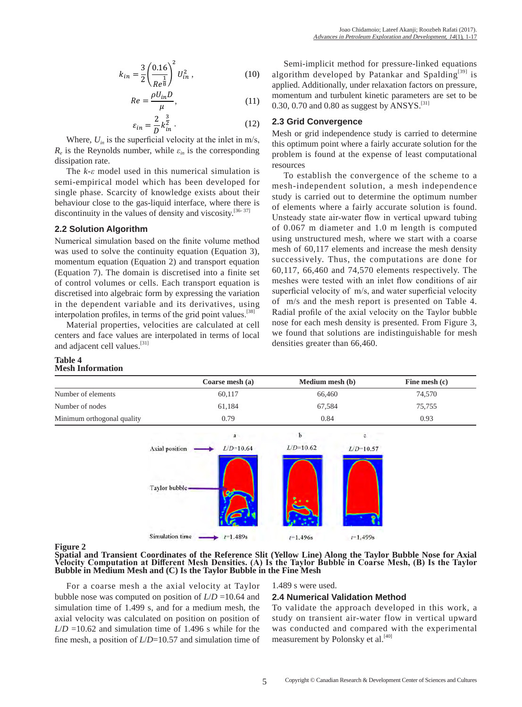$$
k_{in} = \frac{3}{2} \left( \frac{0.16}{Re^{\frac{1}{8}}} \right)^2 U_{in}^2 , \qquad (10)
$$

$$
Re = \frac{\rho U_{in} D}{\mu},\tag{11}
$$

$$
\varepsilon_{in} = \frac{2}{D} k_{in}^{\frac{3}{2}}.
$$
 (12)

Where,  $U_{in}$  is the superficial velocity at the inlet in m/s,  $R_e$  is the Reynolds number, while  $\varepsilon_{in}$  is the corresponding dissipation rate.

The  $k$ - $\varepsilon$  model used in this numerical simulation is semi-empirical model which has been developed for single phase. Scarcity of knowledge exists about their behaviour close to the gas-liquid interface, where there is discontinuity in the values of density and viscosity.<sup>[36-37]</sup>

#### 2.2 Solution Algorithm

Numerical simulation based on the finite volume method was used to solve the continuity equation (Equation 3), momentum equation (Equation 2) and transport equation (Equation 7). The domain is discretised into a finite set of control volumes or cells. Each transport equation is discretised into algebraic form by expressing the variation in the dependent variable and its derivatives, using interpolation profiles, in terms of the grid point values.<sup>[38]</sup>

Material properties, velocities are calculated at cell centers and face values are interpolated in terms of local and adjacent cell values.<sup>[31]</sup>

#### **Table 4 Mesh Information**

Semi-implicit method for pressure-linked equations algorithm developed by Patankar and Spalding<sup>[39]</sup> is applied. Additionally, under relaxation factors on pressure, momentum and turbulent kinetic parameters are set to be 0.30, 0.70 and 0.80 as suggest by ANSYS.<sup>[31]</sup>

# 2.3 Grid Convergence

Mesh or grid independence study is carried to determine this optimum point where a fairly accurate solution for the problem is found at the expense of least computational resources

To establish the convergence of the scheme to a mesh-independent solution, a mesh independence study is carried out to determine the optimum number of elements where a fairly accurate solution is found. Unsteady state air-water flow in vertical upward tubing of 0.067 m diameter and 1.0 m length is computed using unstructured mesh, where we start with a coarse mesh of 60,117 elements and increase the mesh density successively. Thus, the computations are done for  $60,117, 66,460$  and  $74,570$  elements respectively. The meshes were tested with an inlet flow conditions of air superficial velocity of m/s, and water superficial velocity of m/s and the mesh report is presented on Table 4. Radial profile of the axial velocity on the Taylor bubble nose for each mesh density is presented. From Figure 3, we found that solutions are indistinguishable for mesh densities greater than 66,460.

|                            | Coarse mesh (a)<br>60,117 |               | Medium mesh (b) |             | Fine mesh (c) |
|----------------------------|---------------------------|---------------|-----------------|-------------|---------------|
| Number of elements         |                           |               |                 | 66,460      |               |
| Number of nodes            |                           | 61,184        |                 | 67,584      |               |
| Minimum orthogonal quality | 0.79                      |               | 0.84            |             | 0.93          |
|                            |                           | a             | b               | c.          |               |
|                            | Axial position            | $L/D = 10.64$ | $L/D=10.62$     | $L/D=10.57$ |               |
|                            | Taylor bubble             |               |                 |             |               |
|                            | Simulation time           | $i=1.489s$    | $t=1,496s$      | $t=1.499s$  |               |

#### **Figure 2**

Spatial and Transient Coordinates of the Reference Slit (Yellow Line) Along the Taylor Bubble Nose for Axial Velocity Computation at Different Mesh Densities. (A) Is the Taylor Bubble in Coarse Mesh, (B) Is the Taylor Bubble in Medium Mesh and (C) Is the Taylor Bubble in the Fine Mesh

For a coarse mesh a the axial velocity at Taylor bubble nose was computed on position of  $L/D = 10.64$  and simulation time of 1.499 s, and for a medium mesh, the axial velocity was calculated on position on position of  $L/D = 10.62$  and simulation time of 1.496 s while for the fine mesh, a position of  $L/D=10.57$  and simulation time of

#### 1.489 s were used.

#### 2.4 Numerical Validation Method

To validate the approach developed in this work, a study on transient air-water flow in vertical upward was conducted and compared with the experimental measurement by Polonsky et al.<sup>[40]</sup>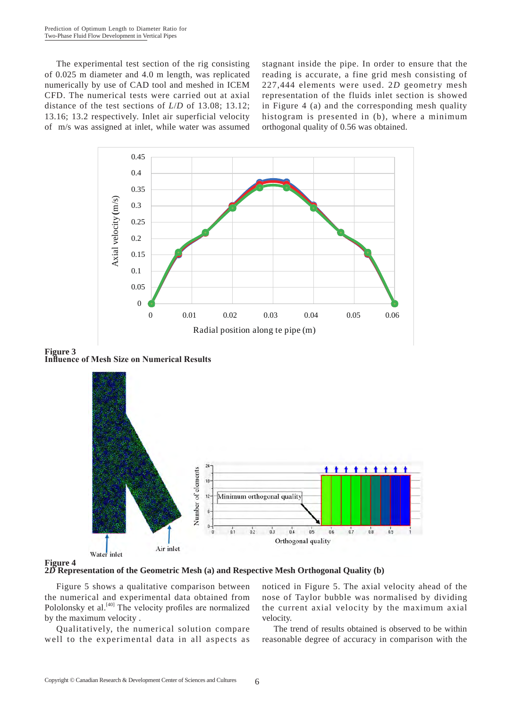The experimental test section of the rig consisting of 0.025 m diameter and 4.0 m length, was replicated numerically by use of CAD tool and meshed in ICEM CFD. The numerical tests were carried out at axial distance of the test sections of *L*/*D* of 13.08; 13.12; 13.16; 13.2 respectively. Inlet air superficial velocity of m/s was assigned at inlet, while water was assumed stagnant inside the pipe. In order to ensure that the reading is accurate, a fine grid mesh consisting of 227,444 elements were used. 2*D* geometry mesh representation of the fluids inlet section is showed in Figure 4 (a) and the corresponding mesh quality histogram is presented in (b), where a minimum orthogonal quality of 0.56 was obtained.



Figure 3<br>Influence of Mesh Size on Numerical Results





**2***D* **Representation of the Geometric Mesh (a) and Respective Mesh Orthogonal Quality (b)**

Figure 5 shows a qualitative comparison between the numerical and experimental data obtained from Pololonsky et al.<sup>[40]</sup> The velocity profiles are normalized by the maximum velocity .

Qualitatively, the numerical solution compare well to the experimental data in all aspects as noticed in Figure 5. The axial velocity ahead of the nose of Taylor bubble was normalised by dividing the current axial velocity by the maximum axial velocity.

The trend of results obtained is observed to be within reasonable degree of accuracy in comparison with the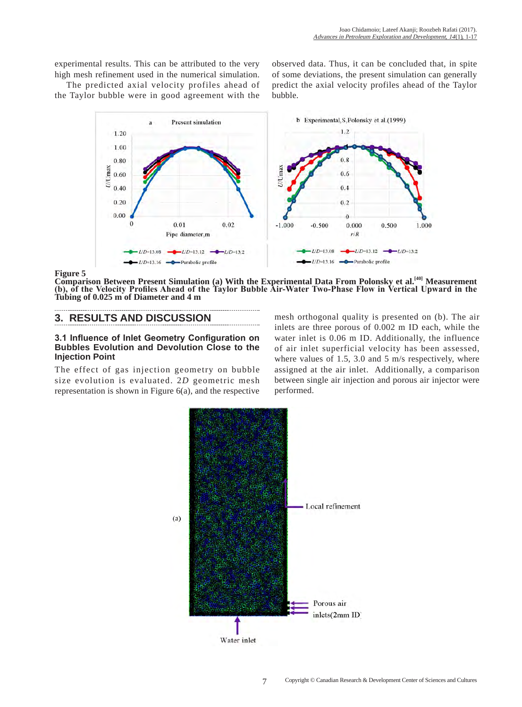experimental results. This can be attributed to the very high mesh refinement used in the numerical simulation.

The predicted axial velocity profiles ahead of the Taylor bubble were in good agreement with the

observed data. Thus, it can be concluded that, in spite of some deviations, the present simulation can generally predict the axial velocity profiles ahead of the Taylor bubble.



**Figure 5**

**Comparison Between Present Simulation (a) With the Experimental Data From Polonsky et al.[40] Measurement (b), of the Velocity Profiles Ahead of the Taylor Bubble Air-Water Two-Phase Flow in Vertical Upward in the Tubing of 0.025 m of Diameter and 4 m**

# **3. RESULTS AND DISCUSSION**

## **3.1 Influence of Inlet Geometry Configuration on Bubbles Evolution and Devolution Close to the Injection Point**

The effect of gas injection geometry on bubble size evolution is evaluated. 2*D* geometric mesh representation is shown in Figure 6(a), and the respective

mesh orthogonal quality is presented on (b). The air inlets are three porous of 0.002 m ID each, while the water inlet is 0.06 m ID. Additionally, the influence of air inlet superficial velocity has been assessed, where values of 1.5, 3.0 and 5 m/s respectively, where assigned at the air inlet. Additionally, a comparison between single air injection and porous air injector were performed.

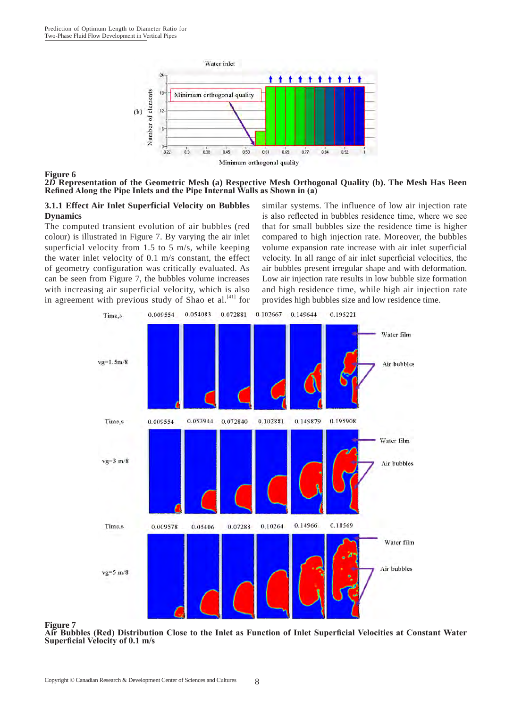

#### **Figure 6**

**2***D* **Representation of the Geometric Mesh (a) Respective Mesh Orthogonal Quality (b). The Mesh Has Been Refined Along the Pipe Inlets and the Pipe Internal Walls as Shown in (a)**

## **3.1.1 Effect Air Inlet Superficial Velocity on Bubbles Dynamics**

The computed transient evolution of air bubbles (red colour) is illustrated in Figure 7. By varying the air inlet superficial velocity from 1.5 to 5 m/s, while keeping the water inlet velocity of 0.1 m/s constant, the effect of geometry configuration was critically evaluated. As can be seen from Figure 7, the bubbles volume increases with increasing air superficial velocity, which is also in agreement with previous study of Shao et al.<sup>[41]</sup> for similar systems. The influence of low air injection rate is also reflected in bubbles residence time, where we see that for small bubbles size the residence time is higher compared to high injection rate. Moreover, the bubbles volume expansion rate increase with air inlet superficial velocity. In all range of air inlet superficial velocities, the air bubbles present irregular shape and with deformation. Low air injection rate results in low bubble size formation and high residence time, while high air injection rate provides high bubbles size and low residence time.



#### **Figure 7**

**Air Bubbles (Red) Distribution Close to the Inlet as Function of Inlet Superficial Velocities at Constant Water Superficial Velocity of 0.1 m/s**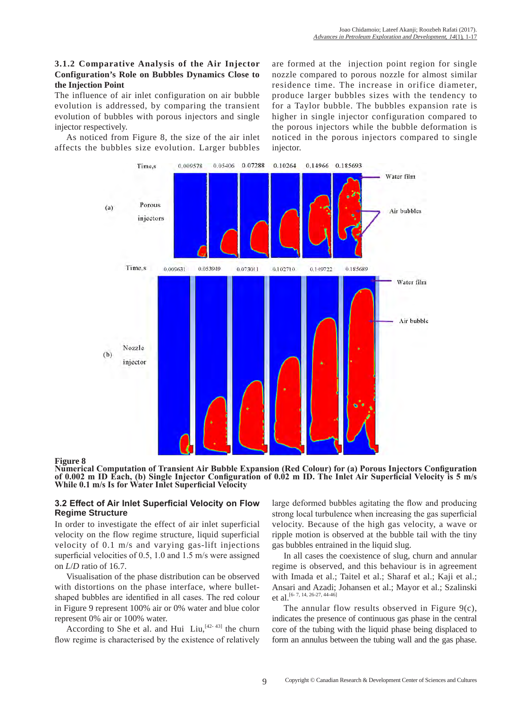# **3.1.2 Comparative Analysis of the Air Injector Configuration's Role on Bubbles Dynamics Close to the Injection Point**

The influence of air inlet configuration on air bubble evolution is addressed, by comparing the transient evolution of bubbles with porous injectors and single injector respectively.

As noticed from Figure 8, the size of the air inlet affects the bubbles size evolution. Larger bubbles

are formed at the injection point region for single nozzle compared to porous nozzle for almost similar residence time. The increase in orifice diameter, produce larger bubbles sizes with the tendency to for a Taylor bubble. The bubbles expansion rate is higher in single injector configuration compared to the porous injectors while the bubble deformation is noticed in the porous injectors compared to single injector.



#### **Figure 8**

**Numerical Computation of Transient Air Bubble Expansion (Red Colour) for (a) Porous Injectors Configuration of 0.002 m ID Each, (b) Single Injector Configuration of 0.02 m ID. The Inlet Air Superficial Velocity is 5 m/s While 0.1 m/s Is for Water Inlet Superficial Velocity**

#### **3.2 Effect of Air Inlet Superficial Velocity on Flow Regime Structure**

In order to investigate the effect of air inlet superficial velocity on the flow regime structure, liquid superficial velocity of 0.1 m/s and varying gas-lift injections superficial velocities of 0.5, 1.0 and 1.5 m/s were assigned on *L*/*D* ratio of 16.7.

Visualisation of the phase distribution can be observed with distortions on the phase interface, where bulletshaped bubbles are identified in all cases. The red colour in Figure 9 represent 100% air or 0% water and blue color represent 0% air or 100% water.

According to She et al. and Hui  $Liu$ ,  $[42 - 43]$  the churn flow regime is characterised by the existence of relatively

large deformed bubbles agitating the flow and producing strong local turbulence when increasing the gas superficial velocity. Because of the high gas velocity, a wave or ripple motion is observed at the bubble tail with the tiny gas bubbles entrained in the liquid slug.

In all cases the coexistence of slug, churn and annular regime is observed, and this behaviour is in agreement with Imada et al.; Taitel et al.; Sharaf et al.; Kaji et al.; Ansari and Azadi; Johansen et al.; Mayor et al.; Szalinski et al.<sup>[6-7, 14, 26-27, 44-46]</sup>

The annular flow results observed in Figure  $9(c)$ , indicates the presence of continuous gas phase in the central core of the tubing with the liquid phase being displaced to form an annulus between the tubing wall and the gas phase.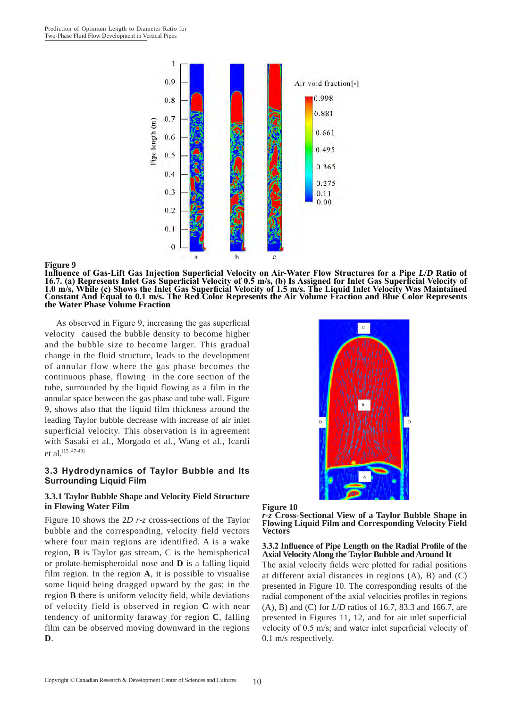

#### **Figure 9**

**Influence of Gas-Lift Gas Injection Superficial Velocity on Air-Water Flow Structures for a Pipe** *L***/***D* **Ratio of 16.7. (a) Represents Inlet Gas Superficial Velocity of 0.5 m/s, (b) Is Assigned for Inlet Gas Superficial Velocity of 1.0 m/s, While (c) Shows the Inlet Gas Superficial Velocity of 1.5 m/s. The Liquid Inlet Velocity Was Maintained Constant And Equal to 0.1 m/s. The Red Color Represents the Air Volume Fraction and Blue Color Represents the Water Phase Volume Fraction**

As observed in Figure 9, increasing the gas superficial velocity caused the bubble density to become higher and the bubble size to become larger. This gradual change in the fluid structure, leads to the development of annular flow where the gas phase becomes the continuous phase, flowing in the core section of the tube, surrounded by the liquid flowing as a film in the annular space between the gas phase and tube wall. Figure 9, shows also that the liquid film thickness around the leading Taylor bubble decrease with increase of air inlet superficial velocity. This observation is in agreement with Sasaki et al., Morgado et al., Wang et al., Icardi et al.<sup>[15, 47-49]</sup>

#### **3.3 Hydrodynamics of Taylor Bubble and Its Surrounding Liquid Film**

#### **3.3.1 Taylor Bubble Shape and Velocity Field Structure in Flowing Water Film**

Figure 10 shows the 2*D r-z* cross-sections of the Taylor bubble and the corresponding, velocity field vectors where four main regions are identified. A is a wake region, **B** is Taylor gas stream, C is the hemispherical or prolate-hemispheroidal nose and **D** is a falling liquid film region. In the region **A**, it is possible to visualise some liquid being dragged upward by the gas; in the region **B** there is uniform velocity field, while deviations of velocity field is observed in region **C** with near tendency of uniformity faraway for region **C**, falling film can be observed moving downward in the regions **D**.





*r-z* **Cross-Sectional View of a Taylor Bubble Shape in Flowing Liquid Film and Corresponding Velocity Field Vectors**

#### **3.3.2 Influence of Pipe Length on the Radial Profile of the Axial Velocity Along the Taylor Bubble and Around It**

The axial velocity fields were plotted for radial positions at different axial distances in regions (A), B) and (C) presented in Figure 10. The corresponding results of the radial component of the axial velocities profiles in regions (A), B) and (C) for *L*/*D* ratios of 16.7, 83.3 and 166.7, are presented in Figures 11, 12, and for air inlet superficial velocity of 0.5 m/s; and water inlet superficial velocity of 0.1 m/s respectively.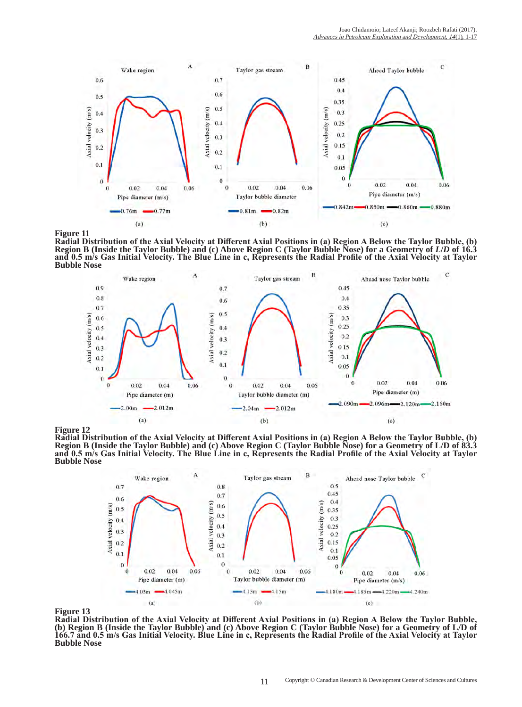



**Radial Distribution of the Axial Velocity at Different Axial Positions in (a) Region A Below the Taylor Bubble, (b) Region B (Inside the Taylor Bubble) and (c) Above Region C (Taylor Bubble Nose) for a Geometry of** *L***/***D* **of 16.3 and 0.5 m/s Gas Initial Velocity. The Blue Line in c, Represents the Radial Profile of the Axial Velocity at Taylor Bubble Nose**



**Figure 12**

**Radial Distribution of the Axial Velocity at Different Axial Positions in (a) Region A Below the Taylor Bubble, (b) Region B (Inside the Taylor Bubble) and (c) Above Region C (Taylor Bubble Nose) for a Geometry of L/D of 83.3 and 0.5 m/s Gas Initial Velocity. The Blue Line in c, Represents the Radial Profile of the Axial Velocity at Taylor Bubble Nose**



**Figure 13**

**Radial Distribution of the Axial Velocity at Different Axial Positions in (a) Region A Below the Taylor Bubble, (b) Region B (Inside the Taylor Bubble) and (c) Above Region C (Taylor Bubble Nose) for a Geometry of L/D of 166.7 and 0.5 m/s Gas Initial Velocity. Blue Line in c, Represents the Radial Profile of the Axial Velocity at Taylor Bubble Nose**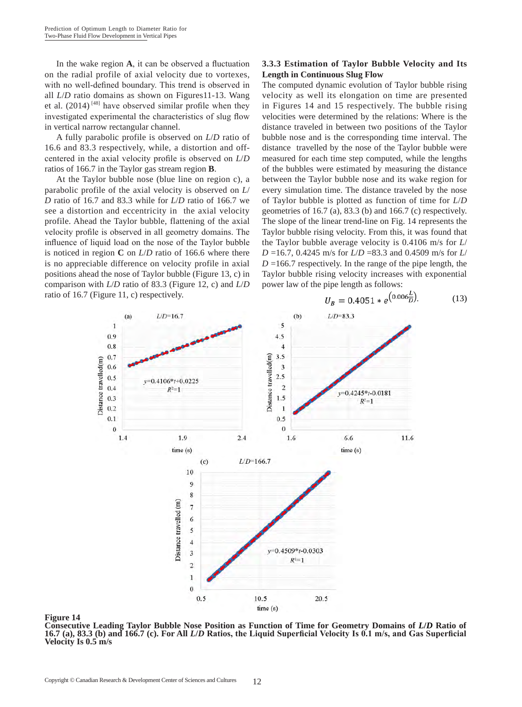In the wake region **A**, it can be observed a fluctuation on the radial profile of axial velocity due to vortexes, with no well-defined boundary. This trend is observed in all *L*/*D* ratio domains as shown on Figures11-13. Wang et al.  $(2014)$ <sup>[48]</sup> have observed similar profile when they investigated experimental the characteristics of slug flow in vertical narrow rectangular channel.

A fully parabolic profile is observed on *L*/*D* ratio of 16.6 and 83.3 respectively, while, a distortion and offcentered in the axial velocity profile is observed on *L*/*D* ratios of 166.7 in the Taylor gas stream region **B**.

At the Taylor bubble nose (blue line on region c), a parabolic profile of the axial velocity is observed on *L*/ *D* ratio of 16.7 and 83.3 while for *L*/*D* ratio of 166.7 we see a distortion and eccentricity in the axial velocity profile. Ahead the Taylor bubble, flattening of the axial velocity profile is observed in all geometry domains. The influence of liquid load on the nose of the Taylor bubble is noticed in region **C** on *L*/*D* ratio of 166.6 where there is no appreciable difference on velocity profile in axial positions ahead the nose of Taylor bubble (Figure 13, c) in comparison with *L*/*D* ratio of 83.3 (Figure 12, c) and *L*/*D* ratio of 16.7 (Figure 11, c) respectively.

# **3.3.3 Estimation of Taylor Bubble Velocity and Its Length in Continuous Slug Flow**

The computed dynamic evolution of Taylor bubble rising velocity as well its elongation on time are presented in Figures 14 and 15 respectively. The bubble rising velocities were determined by the relations: Where is the distance traveled in between two positions of the Taylor bubble nose and is the corresponding time interval. The distance travelled by the nose of the Taylor bubble were measured for each time step computed, while the lengths of the bubbles were estimated by measuring the distance between the Taylor bubble nose and its wake region for every simulation time. The distance traveled by the nose of Taylor bubble is plotted as function of time for *L*/*D* geometries of 16.7 (a), 83.3 (b) and 166.7 (c) respectively. The slope of the linear trend-line on Fig. 14 represents the Taylor bubble rising velocity. From this, it was found that the Taylor bubble average velocity is 0.4106 m/s for *L*/ *D* =16.7, 0.4245 m/s for *L*/*D* =83.3 and 0.4509 m/s for *L*/  $D = 166.7$  respectively. In the range of the pipe length, the Taylor bubble rising velocity increases with exponential power law of the pipe length as follows:



# $U_B = 0.4051 * e^{(0.006 \frac{L}{D})}$ . (13)

#### **Figure 14**

**Consecutive Leading Taylor Bubble Nose Position as Function of Time for Geometry Domains of** *L***/***D* **Ratio of 16.7 (a), 83.3 (b) and 166.7 (c). For All** *L***/***D* **Ratios, the Liquid Superficial Velocity Is 0.1 m/s, and Gas Superficial Velocity Is 0.5 m/s**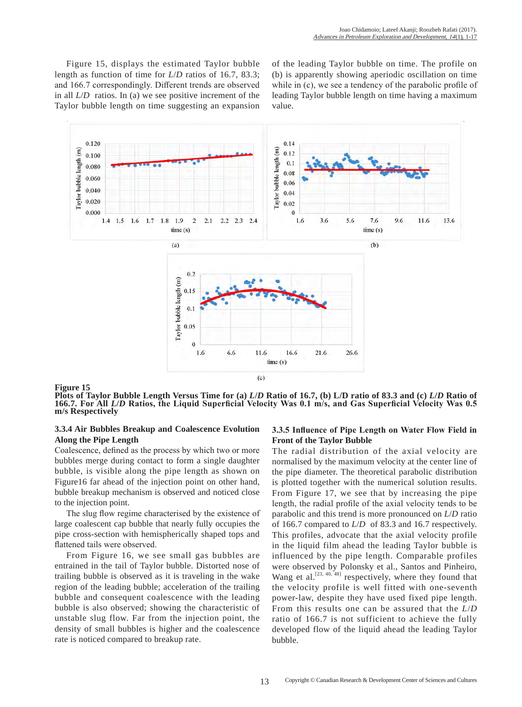Figure 15, displays the estimated Taylor bubble length as function of time for *L*/*D* ratios of 16.7, 83.3; and 166.7 correspondingly. Different trends are observed in all *L*/*D* ratios. In (a) we see positive increment of the Taylor bubble length on time suggesting an expansion

of the leading Taylor bubble on time. The profile on (b) is apparently showing aperiodic oscillation on time while in (c), we see a tendency of the parabolic profile of leading Taylor bubble length on time having a maximum value.



**Figure 15**

**Plots of Taylor Bubble Length Versus Time for (a)** *L***/***D* **Ratio of 16.7, (b) L/D ratio of 83.3 and (c)** *L***/***D* **Ratio of 166.7. For All** *L***/***D* **Ratios, the Liquid Superficial Velocity Was 0.1 m/s, and Gas Superficial Velocity Was 0.5 m/s Respectively**

## **3.3.4 Air Bubbles Breakup and Coalescence Evolution Along the Pipe Length**

Coalescence, defined as the process by which two or more bubbles merge during contact to form a single daughter bubble, is visible along the pipe length as shown on Figure16 far ahead of the injection point on other hand, bubble breakup mechanism is observed and noticed close to the injection point.

The slug flow regime characterised by the existence of large coalescent cap bubble that nearly fully occupies the pipe cross-section with hemispherically shaped tops and flattened tails were observed.

From Figure 16, we see small gas bubbles are entrained in the tail of Taylor bubble. Distorted nose of trailing bubble is observed as it is traveling in the wake region of the leading bubble; acceleration of the trailing bubble and consequent coalescence with the leading bubble is also observed; showing the characteristic of unstable slug flow. Far from the injection point, the density of small bubbles is higher and the coalescence rate is noticed compared to breakup rate.

## **3.3.5 Influence of Pipe Length on Water Flow Field in Front of the Taylor Bubble**

The radial distribution of the axial velocity are normalised by the maximum velocity at the center line of the pipe diameter. The theoretical parabolic distribution is plotted together with the numerical solution results. From Figure 17, we see that by increasing the pipe length, the radial profile of the axial velocity tends to be parabolic and this trend is more pronounced on *L*/*D* ratio of 166.7 compared to *L*/*D* of 83.3 and 16.7 respectively. This profiles, advocate that the axial velocity profile in the liquid film ahead the leading Taylor bubble is influenced by the pipe length. Comparable profiles were observed by Polonsky et al., Santos and Pinheiro, Wang et al.<sup>[23, 40, 48]</sup> respectively, where they found that the velocity profile is well fitted with one-seventh power-law, despite they have used fixed pipe length. From this results one can be assured that the *L*/*D* ratio of 166.7 is not sufficient to achieve the fully developed flow of the liquid ahead the leading Taylor bubble.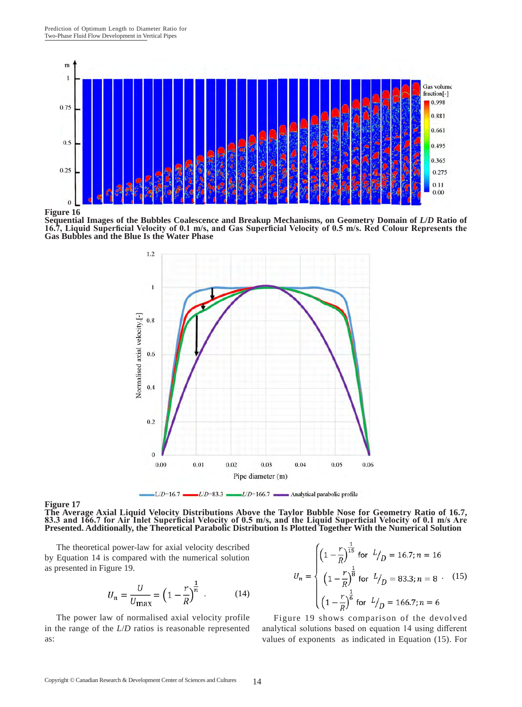

**Figure 16**

**Sequential Images of the Bubbles Coalescence and Breakup Mechanisms, on Geometry Domain of** *L***/***D* **Ratio of 16.7, Liquid Superficial Velocity of 0.1 m/s, and Gas Superficial Velocity of 0.5 m/s. Red Colour Represents the Gas Bubbles and the Blue Is the Water Phase**





**The Average Axial Liquid Velocity Distributions Above the Taylor Bubble Nose for Geometry Ratio of 16.7, 83.3 and 166.7 for Air Inlet Superficial Velocity of 0.5 m/s, and the Liquid Superficial Velocity of 0.1 m/s Are Presented. Additionally, the Theoretical Parabolic Distribution Is Plotted Together With the Numerical Solution**

The theoretical power-law for axial velocity described by Equation 14 is compared with the numerical solution as presented in Figure 19.

$$
U_n = \frac{U}{U_{\text{max}}} = \left(1 - \frac{r}{R}\right)^{\frac{1}{n}} \tag{14}
$$

The power law of normalised axial velocity profile in the range of the *L*/*D* ratios is reasonable represented as:

$$
U_n = \begin{cases} \left(1 - \frac{r}{R}\right)^{\frac{1}{15}} & \text{for } l/p = 16.7; n = 16\\ \left(1 - \frac{r}{R}\right)^{\frac{1}{8}} & \text{for } l/p = 83.3; n = 8\\ \left(1 - \frac{r}{R}\right)^{\frac{1}{6}} & \text{for } l/p = 166.7; n = 6 \end{cases}
$$
(15)

Figure 19 shows comparison of the devolved analytical solutions based on equation 14 using different values of exponents as indicated in Equation (15). For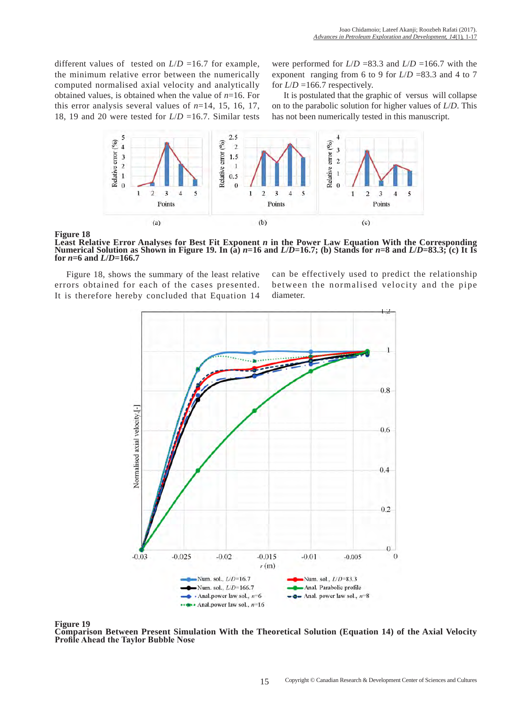different values of tested on  $L/D = 16.7$  for example, the minimum relative error between the numerically computed normalised axial velocity and analytically obtained values, is obtained when the value of *n*=16. For this error analysis several values of  $n=14$ , 15, 16, 17, 18, 19 and 20 were tested for *L*/*D* =16.7. Similar tests

were performed for *L*/*D* =83.3 and *L*/*D* =166.7 with the exponent ranging from 6 to 9 for  $L/D = 83.3$  and 4 to 7 for  $L/D = 166.7$  respectively.

It is postulated that the graphic of versus will collapse on to the parabolic solution for higher values of *L*/*D*. This has not been numerically tested in this manuscript.



**Figure 18**

**Least Relative Error Analyses for Best Fit Exponent** *n* **in the Power Law Equation With the Corresponding Numerical Solution as Shown in Figure 19. In (a)**  $n=16$  **and**  $L/D=16.7$ **; (b) Stands for**  $n=8$  **and**  $L/D=83.3$ **; (c) It Is for** *n***=6 and** *L***/***D***=166.7**

Figure 18, shows the summary of the least relative errors obtained for each of the cases presented. It is therefore hereby concluded that Equation 14

can be effectively used to predict the relationship between the normalised velocity and the pipe diameter.



**Figure 19**

**Comparison Between Present Simulation With the Theoretical Solution (Equation 14) of the Axial Velocity Profile Ahead the Taylor Bubble Nose**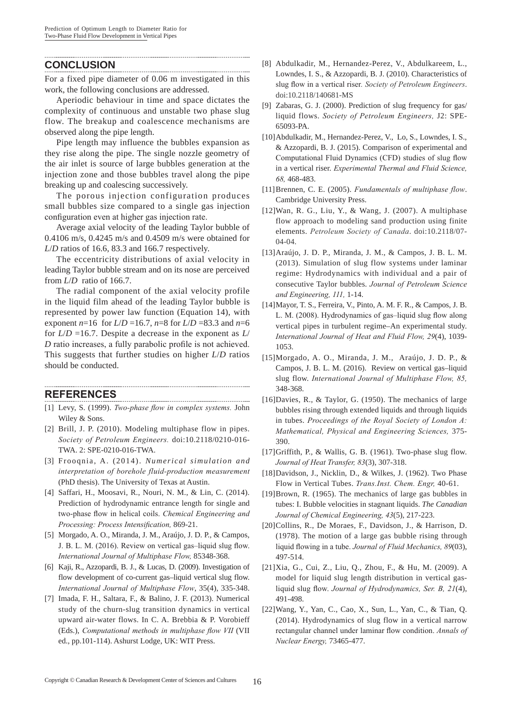# **CONCLUSION**

For a fixed pipe diameter of 0.06 m investigated in this work, the following conclusions are addressed.

Aperiodic behaviour in time and space dictates the complexity of continuous and unstable two phase slug flow. The breakup and coalescence mechanisms are observed along the pipe length.

Pipe length may influence the bubbles expansion as they rise along the pipe. The single nozzle geometry of the air inlet is source of large bubbles generation at the injection zone and those bubbles travel along the pipe breaking up and coalescing successively.

The porous injection configuration produces small bubbles size compared to a single gas injection configuration even at higher gas injection rate.

Average axial velocity of the leading Taylor bubble of 0.4106 m/s, 0.4245 m/s and 0.4509 m/s were obtained for *L*/*D* ratios of 16.6, 83.3 and 166.7 respectively.

The eccentricity distributions of axial velocity in leading Taylor bubble stream and on its nose are perceived from *L*/*D* ratio of 166.7.

The radial component of the axial velocity profile in the liquid film ahead of the leading Taylor bubble is represented by power law function (Equation 14), with exponent  $n=16$  for  $L/D = 16.7$ ,  $n=8$  for  $L/D = 83.3$  and  $n=6$ for  $L/D = 16.7$ . Despite a decrease in the exponent as  $L/$ *D* ratio increases, a fully parabolic profile is not achieved. This suggests that further studies on higher *L*/*D* ratios should be conducted.

## **REFERENCES**

- [1] Levy, S. (1999). *Two-phase flow in complex systems.* John Wiley & Sons.
- [2] Brill, J. P. (2010). Modeling multiphase flow in pipes. *Society of Petroleum Engineers.* doi:10.2118/0210-016- TWA. 2: SPE-0210-016-TWA.
- [3] Frooqnia, A. (2014). *Numerical simulation and interpretation of borehole fluid-production measurement*  (PhD thesis). The University of Texas at Austin.
- [4] Saffari, H., Moosavi, R., Nouri, N. M., & Lin, C. (2014). Prediction of hydrodynamic entrance length for single and two-phase flow in helical coils. *Chemical Engineering and Processing: Process Intensification,* 869-21.
- [5] Morgado, A. O., Miranda, J. M., Araújo, J. D. P., & Campos, J. B. L. M. (2016). Review on vertical gas–liquid slug flow. *International Journal of Multiphase Flow,* 85348-368.
- [6] Kaji, R., Azzopardi, B. J., & Lucas, D. (2009). Investigation of flow development of co-current gas–liquid vertical slug flow. *International Journal of Multiphase Flow*, 35(4), 335-348.
- [7] Imada, F. H., Saltara, F., & Balino, J. F. (2013). Numerical study of the churn-slug transition dynamics in vertical upward air-water flows. In C. A. Brebbia & P. Vorobieff (Eds.), *Computational methods in multiphase flow VII* (VII ed., pp.101-114). Ashurst Lodge, UK: WIT Press.
- [8] Abdulkadir, M., Hernandez-Perez, V., Abdulkareem, L., Lowndes, I. S., & Azzopardi, B. J. (2010). Characteristics of slug flow in a vertical riser*. Society of Petroleum Engineers*. doi:10.2118/140681-MS
- [9] Zabaras, G. J. (2000). Prediction of slug frequency for gas/ liquid flows. *Society of Petroleum Engineers,* J2: SPE-65093-PA.
- [10]Abdulkadir, M., Hernandez-Perez, V., Lo, S., Lowndes, I. S., & Azzopardi, B. J. (2015). Comparison of experimental and Computational Fluid Dynamics (CFD) studies of slug flow in a vertical riser. *Experimental Thermal and Fluid Science, 68,* 468-483.
- [11]Brennen, C. E. (2005). *Fundamentals of multiphase flow*. Cambridge University Press.
- [12]Wan, R. G., Liu, Y., & Wang, J. (2007). A multiphase flow approach to modeling sand production using finite elements. *Petroleum Society of Canada*. doi:10.2118/07- 04-04.
- [13]Araújo, J. D. P., Miranda, J. M., & Campos, J. B. L. M. (2013). Simulation of slug flow systems under laminar regime: Hydrodynamics with individual and a pair of consecutive Taylor bubbles. *Journal of Petroleum Science and Engineering, 111,* 1-14.
- [14]Mayor, T. S., Ferreira, V., Pinto, A. M. F. R., & Campos, J. B. L. M. (2008). Hydrodynamics of gas–liquid slug flow along vertical pipes in turbulent regime–An experimental study. *International Journal of Heat and Fluid Flow, 29*(4), 1039- 1053.
- [15]Morgado, A. O., Miranda, J. M., Araújo, J. D. P., & Campos, J. B. L. M. (2016). Review on vertical gas–liquid slug flow. *International Journal of Multiphase Flow, 85,*  348-368.
- [16]Davies, R., & Taylor, G. (1950). The mechanics of large bubbles rising through extended liquids and through liquids in tubes. *Proceedings of the Royal Society of London A: Mathematical, Physical and Engineering Sciences,* 375- 390.
- [17]Griffith, P., & Wallis, G. B. (1961). Two-phase slug flow. *Journal of Heat Transfer, 83*(3), 307-318.
- [18]Davidson, J., Nicklin, D., & Wilkes, J. (1962). Two Phase Flow in Vertical Tubes. *Trans.Inst. Chem. Engr,* 40-61.
- [19]Brown, R. (1965). The mechanics of large gas bubbles in tubes: I. Bubble velocities in stagnant liquids. *The Canadian Journal of Chemical Engineering, 43*(5), 217-223.
- [20]Collins, R., De Moraes, F., Davidson, J., & Harrison, D. (1978). The motion of a large gas bubble rising through liquid flowing in a tube. *Journal of Fluid Mechanics, 89*(03), 497-514.
- [21]Xia, G., Cui, Z., Liu, Q., Zhou, F., & Hu, M. (2009). A model for liquid slug length distribution in vertical gasliquid slug flow. *Journal of Hydrodynamics, Ser. B, 21*(4), 491-498.
- [22]Wang, Y., Yan, C., Cao, X., Sun, L., Yan, C., & Tian, Q. (2014). Hydrodynamics of slug flow in a vertical narrow rectangular channel under laminar flow condition. *Annals of Nuclear Energy,* 73465-477.